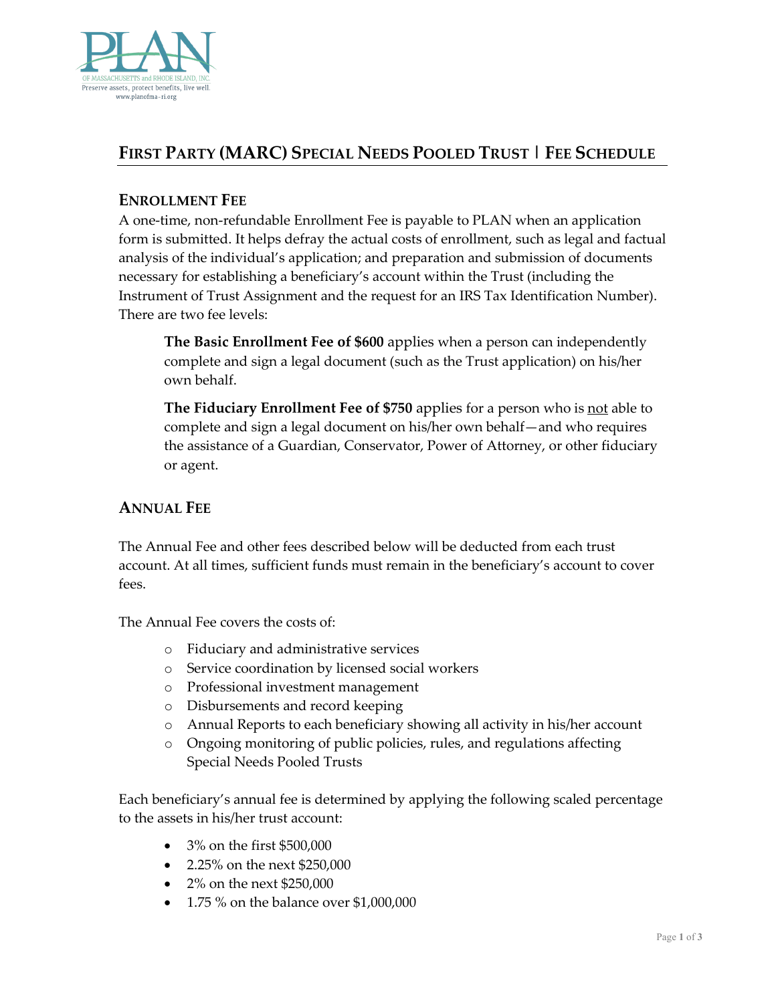

# **FIRST PARTY (MARC) SPECIAL NEEDS POOLED TRUST | FEE SCHEDULE**

### **ENROLLMENT FEE**

A one-time, non-refundable Enrollment Fee is payable to PLAN when an application form is submitted. It helps defray the actual costs of enrollment, such as legal and factual analysis of the individual's application; and preparation and submission of documents necessary for establishing a beneficiary's account within the Trust (including the Instrument of Trust Assignment and the request for an IRS Tax Identification Number). There are two fee levels:

**The Basic Enrollment Fee of \$600** applies when a person can independently complete and sign a legal document (such as the Trust application) on his/her own behalf.

**The Fiduciary Enrollment Fee of \$750** applies for a person who is not able to complete and sign a legal document on his/her own behalf—and who requires the assistance of a Guardian, Conservator, Power of Attorney, or other fiduciary or agent.

## **ANNUAL FEE**

The Annual Fee and other fees described below will be deducted from each trust account. At all times, sufficient funds must remain in the beneficiary's account to cover fees.

The Annual Fee covers the costs of:

- o Fiduciary and administrative services
- o Service coordination by licensed social workers
- o Professional investment management
- o Disbursements and record keeping
- o Annual Reports to each beneficiary showing all activity in his/her account
- o Ongoing monitoring of public policies, rules, and regulations affecting Special Needs Pooled Trusts

Each beneficiary's annual fee is determined by applying the following scaled percentage to the assets in his/her trust account:

- 3% on the first \$500,000
- 2.25% on the next \$250,000
- 2% on the next \$250,000
- 1.75 % on the balance over \$1,000,000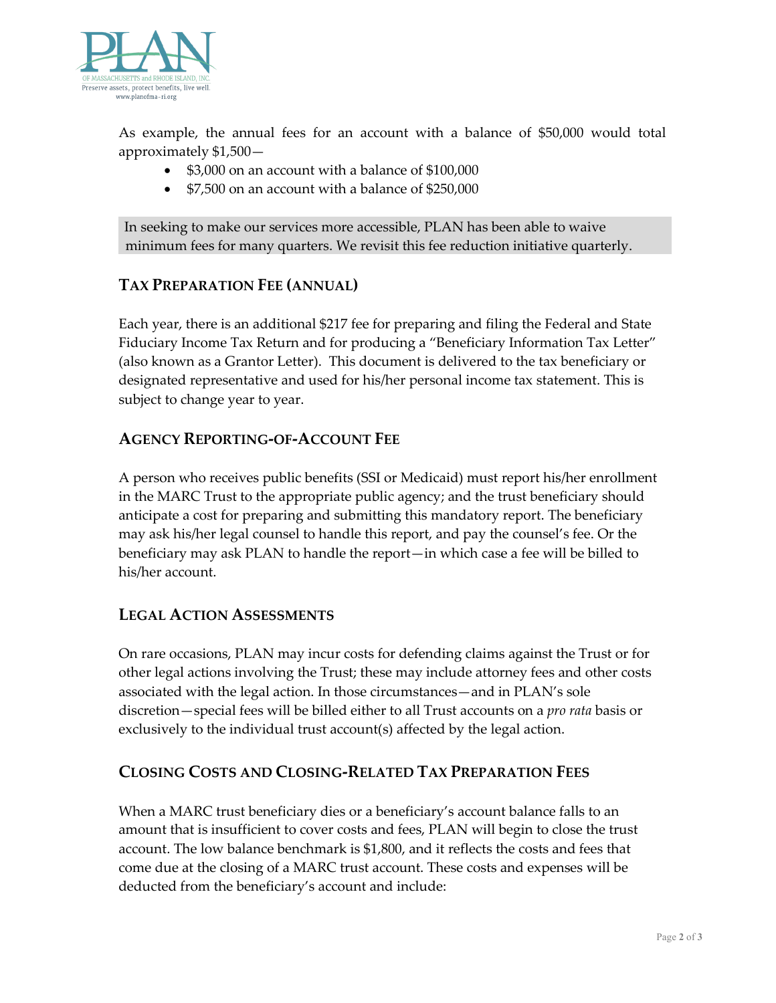

As example, the annual fees for an account with a balance of \$50,000 would total approximately \$1,500—

- \$3,000 on an account with a balance of \$100,000
- \$7,500 on an account with a balance of \$250,000

In seeking to make our services more accessible, PLAN has been able to waive minimum fees for many quarters. We revisit this fee reduction initiative quarterly.

## **TAX PREPARATION FEE (ANNUAL)**

Each year, there is an additional \$217 fee for preparing and filing the Federal and State Fiduciary Income Tax Return and for producing a "Beneficiary Information Tax Letter" (also known as a Grantor Letter). This document is delivered to the tax beneficiary or designated representative and used for his/her personal income tax statement. This is subject to change year to year.

## **AGENCY REPORTING-OF-ACCOUNT FEE**

A person who receives public benefits (SSI or Medicaid) must report his/her enrollment in the MARC Trust to the appropriate public agency; and the trust beneficiary should anticipate a cost for preparing and submitting this mandatory report. The beneficiary may ask his/her legal counsel to handle this report, and pay the counsel's fee. Or the beneficiary may ask PLAN to handle the report—in which case a fee will be billed to his/her account.

## **LEGAL ACTION ASSESSMENTS**

On rare occasions, PLAN may incur costs for defending claims against the Trust or for other legal actions involving the Trust; these may include attorney fees and other costs associated with the legal action. In those circumstances—and in PLAN's sole discretion—special fees will be billed either to all Trust accounts on a *pro rata* basis or exclusively to the individual trust account(s) affected by the legal action.

## **CLOSING COSTS AND CLOSING-RELATED TAX PREPARATION FEES**

When a MARC trust beneficiary dies or a beneficiary's account balance falls to an amount that is insufficient to cover costs and fees, PLAN will begin to close the trust account. The low balance benchmark is \$1,800, and it reflects the costs and fees that come due at the closing of a MARC trust account. These costs and expenses will be deducted from the beneficiary's account and include: